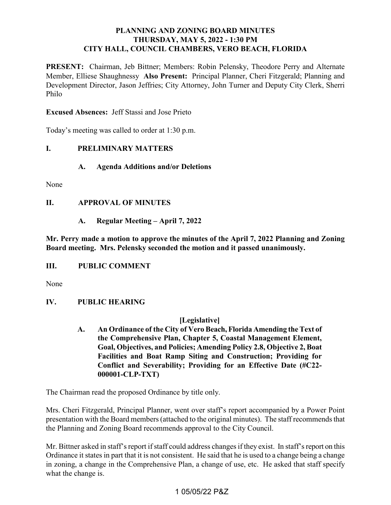## **PLANNING AND ZONING BOARD MINUTES THURSDAY, MAY 5, 2022 - 1:30 PM CITY HALL, COUNCIL CHAMBERS, VERO BEACH, FLORIDA**

PRESENT: Chairman, Jeb Bittner; Members: Robin Pelensky, Theodore Perry and Alternate Member, Elliese Shaughnessy **Also Present:** Principal Planner, Cheri Fitzgerald; Planning and Development Director, Jason Jeffries; City Attorney, John Turner and Deputy City Clerk, Sherri Philo

**Excused Absences:** Jeff Stassi and Jose Prieto

Today's meeting was called to order at 1:30 p.m.

#### *<u>L</u>* **I. PRELIMINARY MATTERS**

**A. Agenda Additions and/or Deletions** 

None

### **II. APPROVAL OF MINUTES**

**A. Regular Meeting – April 7, 2022** 

 **Mr. Perry made a motion to approve the minutes of the April 7, 2022 Planning and Zoning Board meeting. Mrs. Pelensky seconded the motion and it passed unanimously.** 

#### *III.* **III. PUBLIC COMMENT**

None

#### **IV. PUBLIC HEARING**

### **[Legislative]**

 **A. An Ordinance of the City of Vero Beach, Florida Amending the Text of Facilities and Boat Ramp Siting and Construction; Providing for the Comprehensive Plan, Chapter 5, Coastal Management Element, Goal, Objectives, and Policies; Amending Policy 2.8, Objective 2, Boat Conflict and Severability; Providing for an Effective Date (#C22- 000001-CLP-TXT)** 

The Chairman read the proposed Ordinance by title only.

 the Planning and Zoning Board recommends approval to the City Council. Mrs. Cheri Fitzgerald, Principal Planner, went over staff's report accompanied by a Power Point presentation with the Board members (attached to the original minutes). The staff recommends that

 Mr. Bittner asked in staff's report if staff could address changes if they exist. In staff's report on this Ordinance it states in part that it is not consistent. He said that he is used to a change being a change in zoning, a change in the Comprehensive Plan, a change of use, etc. He asked that staff specify what the change is.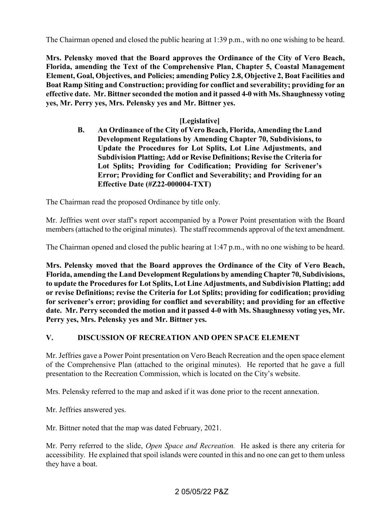The Chairman opened and closed the public hearing at 1:39 p.m., with no one wishing to be heard.

 **Mrs. Pelensky moved that the Board approves the Ordinance of the City of Vero Beach, effective date. Mr. Bittner seconded the motion and it passed 4-0 with Ms. Shaughnessy voting Florida, amending the Text of the Comprehensive Plan, Chapter 5, Coastal Management Element, Goal, Objectives, and Policies; amending Policy 2.8, Objective 2, Boat Facilities and Boat Ramp Siting and Construction; providing for conflict and severability; providing for an yes, Mr. Perry yes, Mrs. Pelensky yes and Mr. Bittner yes.** 

## **[Legislative]**

 **B. An Ordinance of the City of Vero Beach, Florida, Amending the Land Development Regulations by Amending Chapter 70, Subdivisions, to Update the Procedures for Lot Splits, Lot Line Adjustments, and Subdivision Platting; Add or Revise Definitions; Revise the Criteria for Lot Splits; Providing for Codification; Providing for Scrivener's Error; Providing for Conflict and Severability; and Providing for an Effective Date (#Z22-000004-TXT)** 

The Chairman read the proposed Ordinance by title only.

Mr. Jeffries went over staff's report accompanied by a Power Point presentation with the Board members (attached to the original minutes). The staff recommends approval of the text amendment.

The Chairman opened and closed the public hearing at 1:47 p.m., with no one wishing to be heard.

 **Mrs. Pelensky moved that the Board approves the Ordinance of the City of Vero Beach, Florida, amending the Land Development Regulations by amending Chapter 70, Subdivisions, to update the Procedures for Lot Splits, Lot Line Adjustments, and Subdivision Platting; add for scrivener's error; providing for conflict and severability; and providing for an effective or revise Definitions; revise the Criteria for Lot Splits; providing for codification; providing date. Mr. Perry seconded the motion and it passed 4-0 with Ms. Shaughnessy voting yes, Mr. Perry yes, Mrs. Pelensky yes and Mr. Bittner yes.** 

#### **V**. **V. DISCUSSION OF RECREATION AND OPEN SPACE ELEMENT**

 of the Comprehensive Plan (attached to the original minutes). He reported that he gave a full Mr. Jeffries gave a Power Point presentation on Vero Beach Recreation and the open space element presentation to the Recreation Commission, which is located on the City's website.

Mrs. Pelensky referred to the map and asked if it was done prior to the recent annexation.

Mr. Jeffries answered yes.

Mr. Bittner noted that the map was dated February, 2021.

Mr. Perry referred to the slide, *Open Space and Recreation.* He asked is there any criteria for accessibility. He explained that spoil islands were counted in this and no one can get to them unless they have a boat.

## 2 05/05/22 P&Z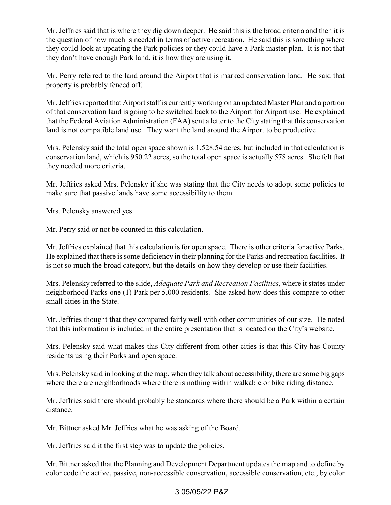Mr. Jeffries said that is where they dig down deeper. He said this is the broad criteria and then it is the question of how much is needed in terms of active recreation. He said this is something where they could look at updating the Park policies or they could have a Park master plan. It is not that they don't have enough Park land, it is how they are using it.

Mr. Perry referred to the land around the Airport that is marked conservation land. He said that property is probably fenced off.

 of that conservation land is going to be switched back to the Airport for Airport use. He explained that the Federal Aviation Administration (FAA) sent a letter to the City stating that this conservation Mr. Jeffries reported that Airport staff is currently working on an updated Master Plan and a portion land is not compatible land use. They want the land around the Airport to be productive.

Mrs. Pelensky said the total open space shown is [1,528.54](https://1,528.54) acres, but included in that calculation is conservation land, which is 950.22 acres, so the total open space is actually 578 acres. She felt that they needed more criteria.

 Mr. Jeffries asked Mrs. Pelensky if she was stating that the City needs to adopt some policies to make sure that passive lands have some accessibility to them.

Mrs. Pelensky answered yes.

Mr. Perry said or not be counted in this calculation.

 Mr. Jeffries explained that this calculation is for open space. There is other criteria for active Parks. He explained that there is some deficiency in their planning for the Parks and recreation facilities. It is not so much the broad category, but the details on how they develop or use their facilities.

 neighborhood Parks one (1) Park per 5,000 residents*.* She asked how does this compare to other Mrs. Pelensky referred to the slide, *Adequate Park and Recreation Facilities,* where it states under small cities in the State.

 Mr. Jeffries thought that they compared fairly well with other communities of our size. He noted that this information is included in the entire presentation that is located on the City's website.

Mrs. Pelensky said what makes this City different from other cities is that this City has County residents using their Parks and open space.

 Mrs. Pelensky said in looking at the map, when they talk about accessibility, there are some big gaps where there are neighborhoods where there is nothing within walkable or bike riding distance.

Mr. Jeffries said there should probably be standards where there should be a Park within a certain distance.

Mr. Bittner asked Mr. Jeffries what he was asking of the Board.

Mr. Jeffries said it the first step was to update the policies.

 color code the active, passive, non-accessible conservation, accessible conservation, etc., by color Mr. Bittner asked that the Planning and Development Department updates the map and to define by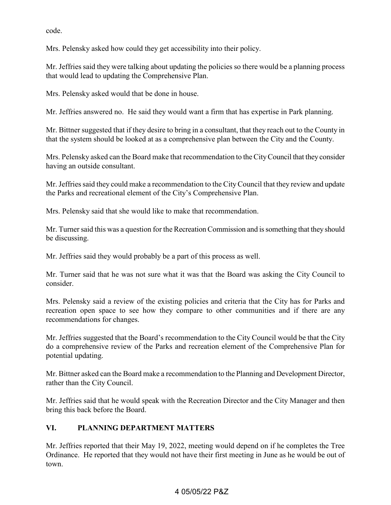code.

Mrs. Pelensky asked how could they get accessibility into their policy.

 Mr. Jeffries said they were talking about updating the policies so there would be a planning process that would lead to updating the Comprehensive Plan.

Mrs. Pelensky asked would that be done in house.

Mr. Jeffries answered no. He said they would want a firm that has expertise in Park planning.

 Mr. Bittner suggested that if they desire to bring in a consultant, that they reach out to the County in that the system should be looked at as a comprehensive plan between the City and the County.

 Mrs. Pelensky asked can the Board make that recommendation to the City Council that they consider having an outside consultant.

 Mr. Jeffries said they could make a recommendation to the City Council that they review and update the Parks and recreational element of the City's Comprehensive Plan.

Mrs. Pelensky said that she would like to make that recommendation.

 Mr. Turner said this was a question for the Recreation Commission and is something that they should be discussing.

Mr. Jeffries said they would probably be a part of this process as well.

 Mr. Turner said that he was not sure what it was that the Board was asking the City Council to consider.

 Mrs. Pelensky said a review of the existing policies and criteria that the City has for Parks and recreation open space to see how they compare to other communities and if there are any recommendations for changes.

 Mr. Jeffries suggested that the Board's recommendation to the City Council would be that the City do a comprehensive review of the Parks and recreation element of the Comprehensive Plan for potential updating.

Mr. Bittner asked can the Board make a recommendation to the Planning and Development Director, rather than the City Council.

 Mr. Jeffries said that he would speak with the Recreation Director and the City Manager and then bring this back before the Board.

### **VI. VI. PLANNING DEPARTMENT MATTERS**

 Mr. Jeffries reported that their May 19, 2022, meeting would depend on if he completes the Tree Ordinance. He reported that they would not have their first meeting in June as he would be out of town.

# 4 05/05/22 P&Z